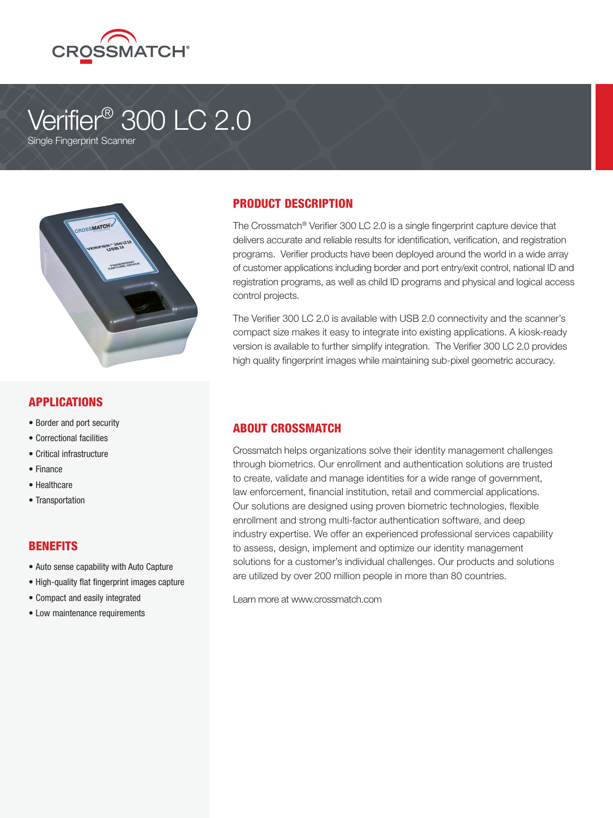

# Verifier<sup>®</sup> 300 LC 2.0 Single Fingerprint Scanner



### APPLICATIONS

- Border and port security
- Correctional facilities
- Critical infrastructure
- Finance
- Healthcare
- Transportation

#### **BENEFITS**

- Auto sense capability with Auto Capture
- High-quality flat fingerprint images capture
- Compact and easily integrated
- Low maintenance requirements

# PRODUCT DESCRIPTION

The Crossmatch® Verifier 300 LC 2.0 is a single fingerprint capture device that delivers accurate and reliable results for identification, verification, and registration programs. Verifier products have been deployed around the world in a wide array of customer applications including border and port entry/exit control, national ID and registration programs, as well as child ID programs and physical and logical access control projects.

The Verifier 300 LC 2.0 is available with USB 2.0 connectivity and the scanner's compact size makes it easy to integrate into existing applications. A kiosk-ready version is available to further simplify integration. The Verifier 300 LC 2.0 provides high quality fingerprint images while maintaining sub-pixel geometric accuracy.

### ABOUT CROSSMATCH

Crossmatch helps organizations solve their identity management challenges through biometrics. Our enrollment and authentication solutions are trusted to create, validate and manage identities for a wide range of government, law enforcement, financial institution, retail and commercial applications. Our solutions are designed using proven biometric technologies, flexible enrollment and strong multi-factor authentication software, and deep industry expertise. We offer an experienced professional services capability to assess, design, implement and optimize our identity management solutions for a customer's individual challenges. Our products and solutions are utilized by over 200 million people in more than 80 countries.

Learn more at www.crossmatch.com